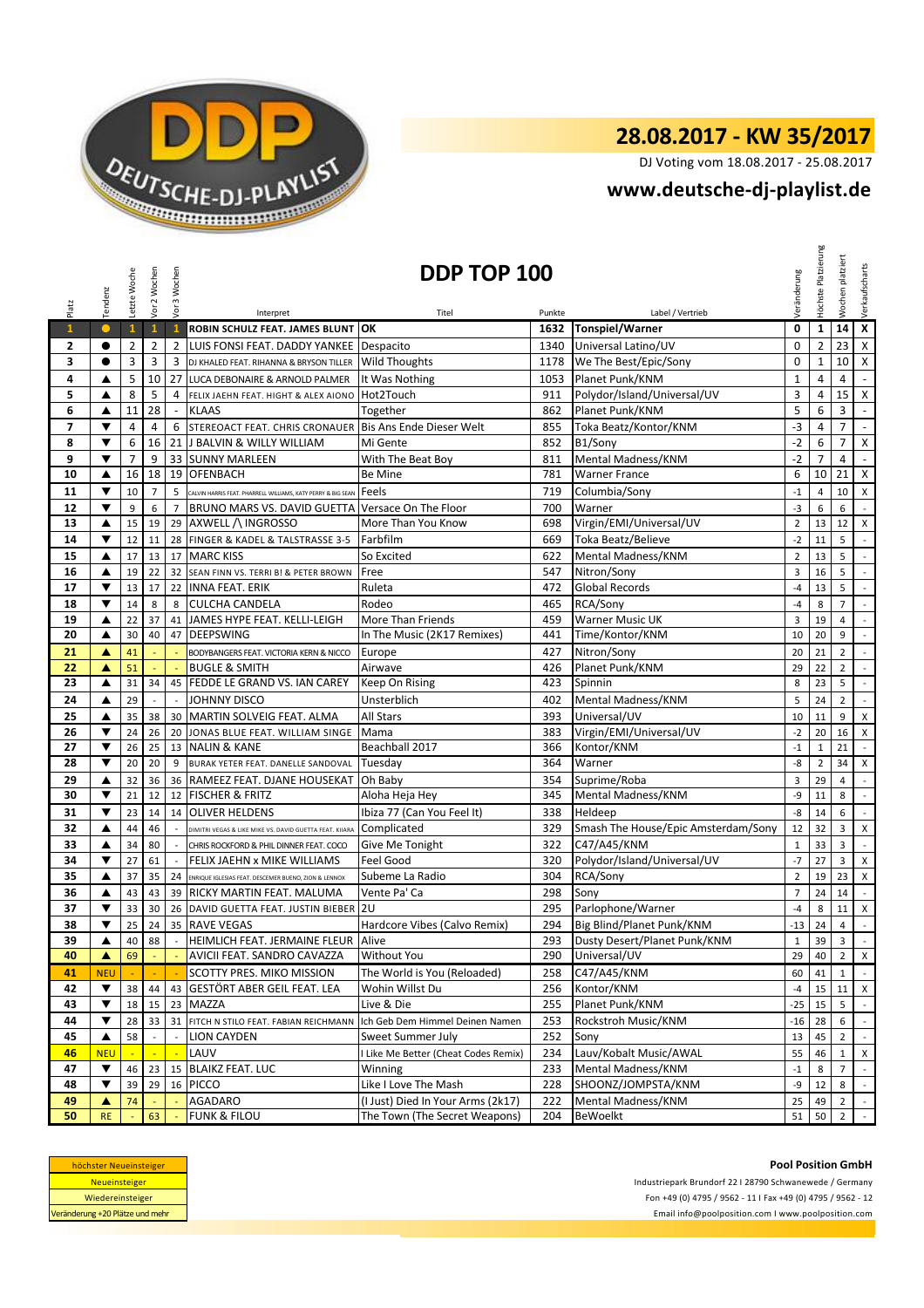

DJ Voting vom 18.08.2017 - 25.08.2017

## **<www.deutsche-dj-playlist.de>**

| Platz                         | Tendenz                   | Letzte Woche         | Vor 2 Wochen   | Vor 3 Wochen   | DDP TOP 100<br>Label / Vertrieb<br>Titel                                |                                      |                | Veränderung                              | Höchste Platzierung | platziert<br>Wochen | Verkaufscharts      |                             |
|-------------------------------|---------------------------|----------------------|----------------|----------------|-------------------------------------------------------------------------|--------------------------------------|----------------|------------------------------------------|---------------------|---------------------|---------------------|-----------------------------|
| $\mathbf{1}$                  | $\bullet$                 | $\mathbf{1}$         | $\mathbf{1}$   | $\mathbf{1}$   | Interpret<br>ROBIN SCHULZ FEAT. JAMES BLUNT                             | OK                                   | Punkte<br>1632 | <b>Tonspiel/Warner</b>                   | $\mathbf 0$         | $\mathbf{1}$        | 14                  | $\overline{\mathbf{x}}$     |
| 2                             | $\bullet$                 | $\overline{2}$       | $\overline{2}$ | $\overline{2}$ | LUIS FONSI FEAT. DADDY YANKEE Despacito                                 |                                      | 1340           | Universal Latino/UV                      | $\mathbf{0}$        | $\overline{2}$      | 23                  | $\mathsf X$                 |
| 3                             | $\bullet$                 | 3                    | 3              | 3              | DJ KHALED FEAT. RIHANNA & BRYSON TILLER                                 | <b>Wild Thoughts</b>                 | 1178           | We The Best/Epic/Sony                    | $\mathbf 0$         | 1                   | 10                  | Χ                           |
| 4                             | ▲                         | 5                    | 10             | 27             | LUCA DEBONAIRE & ARNOLD PALMER                                          | It Was Nothing                       | 1053           | Planet Punk/KNM                          | $\mathbf{1}$        | 4                   | 4                   | $\overline{\phantom{a}}$    |
| 5                             | ▲                         | 8                    | 5              | 4              |                                                                         | Hot2Touch                            | 911            | Polydor/Island/Universal/UV              | 3                   | 4                   | 15                  | $\mathsf{X}$                |
|                               |                           |                      | 28             |                | FELIX JAEHN FEAT. HIGHT & ALEX AIONO                                    |                                      |                |                                          | 5                   |                     |                     |                             |
| 6<br>$\overline{\phantom{a}}$ | ▲<br>▼                    | 11<br>$\overline{4}$ | 4              | $\blacksquare$ | <b>KLAAS</b><br>STEREOACT FEAT. CHRIS CRONAUER Bis Ans Ende Dieser Welt | Together                             | 862<br>855     | Planet Punk/KNM<br>Toka Beatz/Kontor/KNM | $-3$                | 6<br>$\overline{4}$ | 3<br>$\overline{7}$ | $\blacksquare$<br>$\omega$  |
| 8                             | $\blacktriangledown$      | 6                    | 16             | 6              | <b>J BALVIN &amp; WILLY WILLIAM</b>                                     | Mi Gente                             |                |                                          | $-2$                |                     | $\overline{7}$      | X                           |
| 9                             | $\blacktriangledown$      | $\overline{7}$       | 9              | 21<br>33       | <b>SUNNY MARLEEN</b>                                                    |                                      | 852<br>811     | B1/Sony<br>Mental Madness/KNM            | $-2$                | 6<br>7              | $\overline{4}$      | $\omega$                    |
| 10                            |                           | 16                   | 18             | 19             | <b>OFENBACH</b>                                                         | With The Beat Boy                    | 781            | <b>Warner France</b>                     | 6                   | 10                  | 21                  | $\mathsf{X}$                |
|                               | ▲<br>$\blacktriangledown$ |                      |                |                |                                                                         | Be Mine                              |                |                                          |                     |                     |                     |                             |
| 11                            |                           | 10                   | $\overline{7}$ | 5              | CALVIN HARRIS FEAT. PHARRELL WILLIAMS, KATY PERRY & BIG SEAN            | Feels                                | 719            | Columbia/Sony                            | $-1$                | $\overline{4}$      | 10                  | X                           |
| 12                            | ▼                         | 9                    | 6              | $\overline{7}$ | BRUNO MARS VS. DAVID GUETTA Versace On The Floor                        |                                      | 700            | Warner                                   | $-3$                | 6                   | 6                   | $\overline{\phantom{a}}$    |
| 13                            | ▲                         | 15                   | 19             | 29             | AXWELL / INGROSSO                                                       | More Than You Know                   | 698            | Virgin/EMI/Universal/UV                  | $\overline{2}$      | 13                  | 12                  | X                           |
| 14                            | ▼                         | 12                   | 11             | 28             | FINGER & KADEL & TALSTRASSE 3-5                                         | Farbfilm                             | 669            | Toka Beatz/Believe                       | $-2$                | 11                  | 5                   | $\sim$                      |
| 15                            | ▲                         | 17                   | 13             | 17             | <b>MARC KISS</b>                                                        | So Excited                           | 622            | Mental Madness/KNM                       | $\overline{2}$      | 13                  | 5                   | $\mathbb{L}$                |
| 16                            | ▲                         | 19                   | 22             | 32             | SEAN FINN VS. TERRI B! & PETER BROWN                                    | Free                                 | 547            | Nitron/Sony                              | $\overline{3}$      | 16                  | 5                   | $\mathbb{Z}^{\mathbb{Z}}$   |
| 17                            | ▼                         | 13                   | 17             | 22             | <b>INNA FEAT, ERIK</b>                                                  | Ruleta                               | 472            | <b>Global Records</b>                    | -4                  | 13                  | 5                   | $\overline{\phantom{a}}$    |
| 18                            | ▼                         | 14                   | 8              | 8              | <b>CULCHA CANDELA</b>                                                   | Rodeo                                | 465            | RCA/Sony                                 | $-4$                | 8                   | $\overline{7}$      | $\mathbb{Z}^{\mathbb{Z}}$   |
| 19                            | ▲                         | 22                   | 37             | 41             | JAMES HYPE FEAT. KELLI-LEIGH                                            | More Than Friends                    | 459            | <b>Warner Music UK</b>                   | 3                   | 19                  | 4                   | $\blacksquare$              |
| 20                            | ▲                         | 30                   | 40             | 47             | <b>DEEPSWING</b>                                                        | In The Music (2K17 Remixes)          | 441            | Time/Kontor/KNM                          | 10                  | 20                  | 9                   | $\mathcal{L}_{\mathcal{A}}$ |
| 21                            | ▲                         | 41                   |                |                | BODYBANGERS FEAT. VICTORIA KERN & NICCO                                 | Europe                               | 427            | Nitron/Sony                              | 20                  | 21                  | $\overline{2}$      | $\sim$                      |
| 22                            | ▲                         | 51                   |                |                | <b>BUGLE &amp; SMITH</b>                                                | Airwave                              | 426            | Planet Punk/KNM                          | 29                  | 22                  | $\overline{2}$      | $\overline{\phantom{a}}$    |
| 23                            | ▲                         | 31                   | 34             |                | 45 FEDDE LE GRAND VS. IAN CAREY                                         | Keep On Rising                       | 423            | Spinnin                                  | 8                   | 23                  | 5                   | $\mathcal{L}^{\mathcal{L}}$ |
| 24                            | ▲                         | 29                   |                |                | JOHNNY DISCO                                                            | Unsterblich                          | 402            | Mental Madness/KNM                       | 5                   | 24                  | $\overline{2}$      | $\mathbb{Z}^{\mathbb{Z}}$   |
| 25                            | ▲                         | 35                   | 38             |                | 30 MARTIN SOLVEIG FEAT. ALMA                                            | All Stars                            | 393            | Universal/UV                             | 10                  | 11                  | 9                   | X                           |
| 26                            | $\blacktriangledown$      | 24                   | 26             | 20             | JONAS BLUE FEAT. WILLIAM SINGE                                          | Mama                                 | 383            | Virgin/EMI/Universal/UV                  | $-2$                | 20                  | 16                  | X                           |
| 27                            | ▼                         | 26                   | 25             | 13             | <b>NALIN &amp; KANE</b>                                                 | Beachball 2017                       | 366            | Kontor/KNM                               | $^{\rm -1}$         | $\mathbf{1}$        | 21                  | $\mathcal{L}_{\mathcal{A}}$ |
| 28                            | ▼                         | 20                   | 20             | 9              | BURAK YETER FEAT. DANELLE SANDOVAL                                      | Tuesday                              | 364            | Warner                                   | -8                  | $\overline{2}$      | 34                  | X                           |
| 29                            | ▲                         | 32                   | 36             | 36             | RAMEEZ FEAT. DJANE HOUSEKAT                                             | Oh Baby                              | 354            | Suprime/Roba                             | 3                   | 29                  | $\overline{4}$      | $\blacksquare$              |
| 30                            | ▼                         | 21                   | 12             | 12             | <b>FISCHER &amp; FRITZ</b>                                              | Aloha Heja Hey                       | 345            | Mental Madness/KNM                       | -9                  | 11                  | 8                   | $\mathbb{Z}^{\mathbb{Z}}$   |
| 31                            | ▼                         | 23                   | 14             | 14             | <b>OLIVER HELDENS</b>                                                   | Ibiza 77 (Can You Feel It)           | 338            | Heldeep                                  | -8                  | 14                  | 6                   | $\mathbb{Z}^{\mathbb{Z}}$   |
| 32                            | ▲                         | 44                   | 46             |                | DIMITRI VEGAS & LIKE MIKE VS. DAVID GUETTA FEAT. KIIARA                 | Complicated                          | 329            | Smash The House/Epic Amsterdam/Sony      | 12                  | 32                  | 3                   | X                           |
| 33                            | ▲                         | 34                   | 80             |                | CHRIS ROCKFORD & PHIL DINNER FEAT. COCO                                 | Give Me Tonight                      | 322            | C47/A45/KNM                              | $\mathbf{1}$        | 33                  | 3                   | $\mathbb{L}$                |
| 34                            | ▼                         | 27                   | 61             | $\sim$         | FELIX JAEHN x MIKE WILLIAMS                                             | Feel Good                            | 320            | Polydor/Island/Universal/UV              | $-7$                | 27                  | 3                   | X                           |
| 35                            | ▲                         | 37                   | 35             | 24             | ENRIQUE IGLESIAS FEAT. DESCEMER BUENO, ZION & LENNOX                    | Subeme La Radio                      | 304            | RCA/Sony                                 | $\overline{2}$      | 19                  | 23                  | X                           |
| 36                            | ▲                         | 43                   | 43             |                | 39 RICKY MARTIN FEAT. MALUMA                                            | Vente Pa' Ca                         | 298            | Sony                                     | $\overline{7}$      | 24                  | 14                  | $\blacksquare$              |
| 37                            | ▼                         | 33                   | 30             | 26             | DAVID GUETTA FEAT. JUSTIN BIEBER                                        | 2U                                   | 295            | Parlophone/Warner                        | $-4$                | 8                   | 11                  | $\mathsf X$                 |
| 38                            | ▼                         | 25                   | 24             | 35             | <b>RAVE VEGAS</b>                                                       | Hardcore Vibes (Calvo Remix)         | 294            | Big Blind/Planet Punk/KNM                | $-13$               | 24                  | $\overline{4}$      | $\mathbb{Z}^2$              |
| 39                            | ▲                         | 40                   | 88             |                | HEIMLICH FEAT. JERMAINE FLEUR Alive                                     |                                      | 293            | Dusty Desert/Planet Punk/KNM             | $1\,$               | 39                  | 3                   |                             |
| 40                            | ▲                         | 69                   |                |                | AVICII FEAT. SANDRO CAVAZZA                                             | Without You                          | 290            | Universal/UV                             | 29                  | 40                  | $\overline{2}$      | $\mathsf X$                 |
| 41                            | <b>NEU</b>                |                      |                |                | SCOTTY PRES. MIKO MISSION                                               | The World is You (Reloaded)          | 258            | C47/A45/KNM                              | 60                  | 41                  | $\mathbf{1}$        | $\sim$                      |
| 42                            | ▼                         | 38                   | 44             | 43             | <b>GESTÖRT ABER GEIL FEAT. LEA</b>                                      | Wohin Willst Du                      | 256            | Kontor/KNM                               | $-4$                | 15                  | 11                  | X                           |
| 43                            | $\blacktriangledown$      | 18                   | 15             | 23             | <b>MAZZA</b>                                                            | Live & Die                           | 255            | Planet Punk/KNM                          | $-25$               | 15                  | 5                   | $\sim$                      |
| 44                            | ▼                         | 28                   | 33             |                | 31 FITCH N STILO FEAT. FABIAN REICHMANN                                 | Ich Geb Dem Himmel Deinen Namen      | 253            | Rockstroh Music/KNM                      | -16                 | 28                  | 6                   |                             |
| 45                            | ▲                         | 58                   |                |                | <b>LION CAYDEN</b>                                                      | Sweet Summer July                    | 252            | Sony                                     | 13                  | 45                  | $\overline{2}$      | $\sim$                      |
| 46                            | <b>NEU</b>                |                      |                |                | LAUV                                                                    | I Like Me Better (Cheat Codes Remix) | 234            | Lauv/Kobalt Music/AWAL                   | 55                  | 46                  | $\mathbf{1}$        | X                           |
| 47                            | ▼                         | 46                   | 23             | 15             | <b>BLAIKZ FEAT. LUC</b>                                                 | Winning                              | 233            | Mental Madness/KNM                       | $^{\rm -1}$         | 8                   | $\overline{7}$      | $\sim$                      |
| 48                            | ▼                         | 39                   | 29             |                | 16 PICCO                                                                | Like I Love The Mash                 | 228            | SHOONZ/JOMPSTA/KNM                       | -9                  | 12                  | 8                   | $\mathbb{Z}^{\mathbb{Z}}$   |
| 49                            | ▲                         | 74                   |                |                | <b>AGADARO</b>                                                          | (I Just) Died In Your Arms (2k17)    | 222            | Mental Madness/KNM                       | 25                  | 49                  | $\overline{2}$      | $\sim$                      |
| 50                            | <b>RE</b>                 |                      | 63             | $\Box$         | <b>FUNK &amp; FILOU</b>                                                 | The Town (The Secret Weapons)        | 204            | <b>BeWoelkt</b>                          | 51                  | 50                  | $\overline{2}$      | $\sim$                      |

| höchster Neueinsteiger          |  |  |  |  |  |  |  |
|---------------------------------|--|--|--|--|--|--|--|
| <b>Neueinsteiger</b>            |  |  |  |  |  |  |  |
| Wiedereinsteiger                |  |  |  |  |  |  |  |
| Veränderung +20 Plätze und mehr |  |  |  |  |  |  |  |

Fon +49 (0) 4795 / 9562 - 11 I Fax +49 (0) 4795 / 9562 - 12 <Email info@poolposition.com I www.poolposition.com> Industriepark Brundorf 22 I 28790 Schwanewede / Germany

**Pool Position GmbH**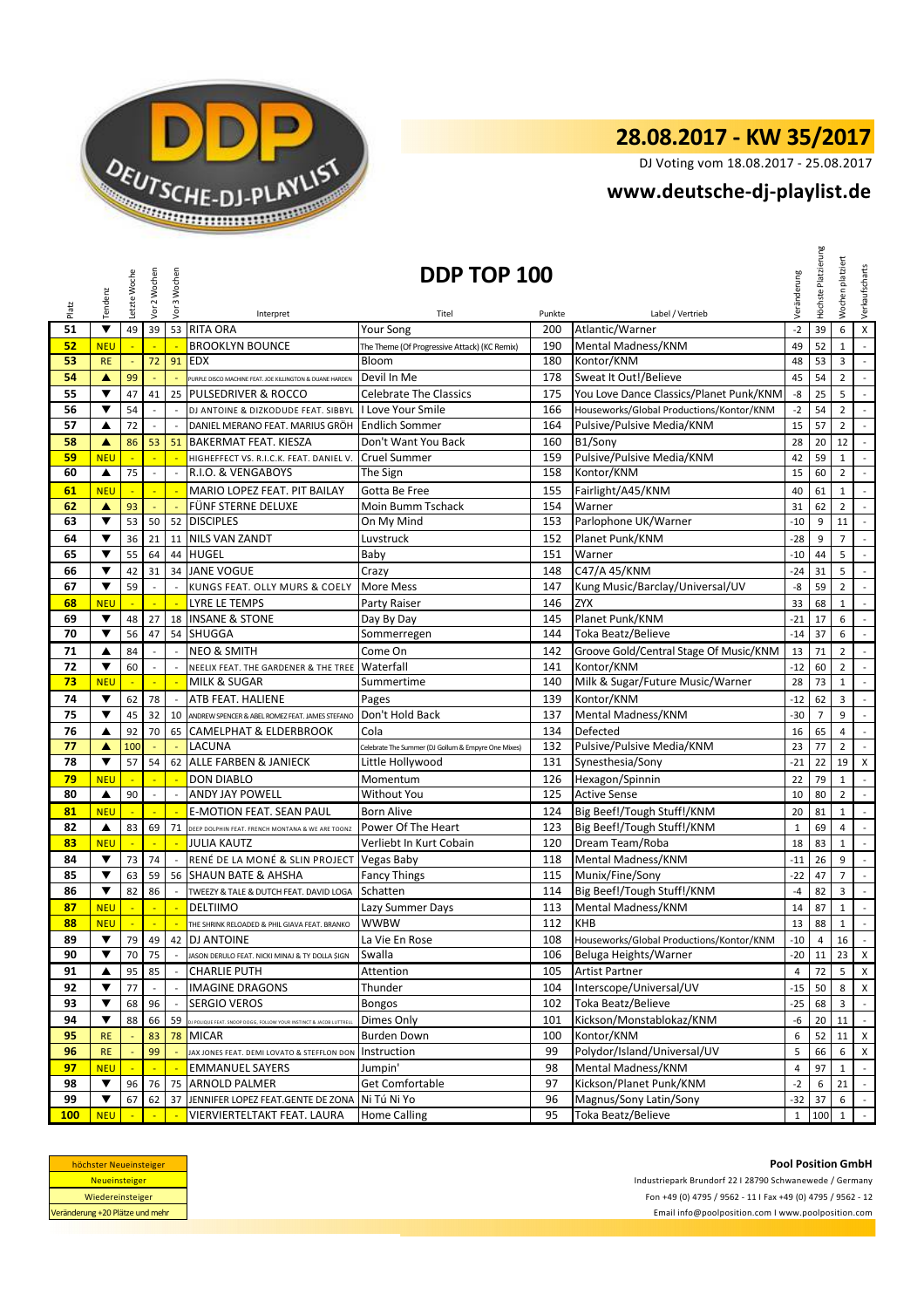

DJ Voting vom 18.08.2017 - 25.08.2017

## **<www.deutsche-dj-playlist.de>**

|            | Tendenz              | Letzte Woche             | /or 2 Wochen             | Vor 3 Wochen                | DDP TOP 100                                                        |                                                     |        | Veränderung                              | Höchste Platzierung | platziert<br>Wochen | Verkaufscharts |                             |
|------------|----------------------|--------------------------|--------------------------|-----------------------------|--------------------------------------------------------------------|-----------------------------------------------------|--------|------------------------------------------|---------------------|---------------------|----------------|-----------------------------|
| Platz      |                      |                          |                          |                             | Interpret                                                          | Titel                                               | Punkte | Label / Vertrieb                         |                     |                     |                |                             |
| 51         | $\blacktriangledown$ | 49                       | 39                       |                             | 53 RITA ORA                                                        | <b>Your Song</b>                                    | 200    | Atlantic/Warner                          | $-2$                | 39                  | 6              | X                           |
| 52         | <b>NEU</b>           |                          |                          |                             | <b>BROOKLYN BOUNCE</b>                                             | The Theme (Of Progressive Attack) (KC Remix)        | 190    | Mental Madness/KNM                       | 49                  | 52                  | $\mathbf{1}$   | $\mathbb{L}$                |
| 53         | <b>RE</b>            | $\overline{\phantom{a}}$ | 72                       | 91                          | <b>EDX</b>                                                         | Bloom                                               | 180    | Kontor/KNM                               | 48                  | 53                  | 3              | $\blacksquare$              |
| 54         | ▲                    | 99                       |                          |                             | PURPLE DISCO MACHINE FEAT. JOE KILLINGTON & DUANE HARDEN           | Devil In Me                                         | 178    | Sweat It Out!/Believe                    | 45                  | 54                  | $\overline{2}$ | $\sim$                      |
| 55         | ▼                    | 47                       | 41                       | 25                          | PULSEDRIVER & ROCCO                                                | <b>Celebrate The Classics</b>                       | 175    | You Love Dance Classics/Planet Punk/KNM  | -8                  | 25                  | 5              | $\mathbb{Z}^{\mathbb{Z}}$   |
| 56         | ▼                    | 54                       |                          |                             | DJ ANTOINE & DIZKODUDE FEAT. SIBBYL                                | I Love Your Smile                                   | 166    | Houseworks/Global Productions/Kontor/KNM | $-2$                | 54                  | $\overline{2}$ | $\sim$                      |
| 57         | ▲                    | 72                       |                          |                             | DANIEL MERANO FEAT. MARIUS GRÖH                                    | <b>Endlich Sommer</b>                               | 164    | Pulsive/Pulsive Media/KNM                | 15                  | 57                  | $\overline{2}$ | $\overline{\phantom{a}}$    |
| 58         | A                    | 86                       | 53                       | 51                          | <b>BAKERMAT FEAT. KIESZA</b>                                       | Don't Want You Back                                 | 160    | B1/Sony                                  | 28                  | 20                  | 12             | $\mathbb{Z}^{\mathbb{Z}}$   |
| 59         | <b>NEU</b>           |                          |                          |                             | HIGHEFFECT VS. R.I.C.K. FEAT. DANIEL V.                            | Cruel Summer                                        | 159    | Pulsive/Pulsive Media/KNM                | 42                  | 59                  | $\mathbf{1}$   | $\blacksquare$              |
| 60         | $\blacktriangle$     | 75                       | $\overline{\phantom{a}}$ |                             | R.I.O. & VENGABOYS                                                 | The Sign                                            | 158    | Kontor/KNM                               | 15                  | 60                  | $\overline{2}$ | $\mathcal{A}$               |
| 61         | <b>NEU</b>           |                          | ÷                        | ÷.                          | MARIO LOPEZ FEAT. PIT BAILAY                                       | Gotta Be Free                                       | 155    | Fairlight/A45/KNM                        | 40                  | 61                  | $\mathbf{1}$   | $\sim$                      |
| 62         | ▲                    | 93                       | $\blacksquare$           | ÷,                          | FÜNF STERNE DELUXE                                                 | Moin Bumm Tschack                                   | 154    | Warner                                   | 31                  | 62                  | $\overline{2}$ | $\mathcal{L}_{\mathcal{A}}$ |
| 63         | ▼                    | 53                       | 50                       |                             | 52 DISCIPLES                                                       | On My Mind                                          | 153    | Parlophone UK/Warner                     | $-10$               | 9                   | 11             | $\overline{\phantom{a}}$    |
| 64         | ▼                    | 36                       | 21                       | 11                          | <b>NILS VAN ZANDT</b>                                              | Luvstruck                                           | 152    | Planet Punk/KNM                          | $-28$               | 9                   | $\overline{7}$ | $\mathbb{L}$                |
| 65         | ▼                    | 55                       | 64                       |                             | 44 HUGEL                                                           | Baby                                                | 151    | Warner                                   | $-10$               | 44                  | 5              | $\mathcal{L}$               |
| 66         | ▼                    | 42                       | 31                       |                             | 34 JANE VOGUE                                                      | Crazy                                               | 148    | C47/A 45/KNM                             | $-24$               | 31                  | 5              | $\mathbb{Z}^{\mathbb{Z}}$   |
| 67         | ▼                    | 59                       | ÷,                       |                             | KUNGS FEAT. OLLY MURS & COELY                                      | More Mess                                           | 147    | Kung Music/Barclay/Universal/UV          | -8                  | 59                  | $\overline{2}$ | $\sim$                      |
| 68         | <b>NEU</b>           |                          |                          |                             | <b>LYRE LE TEMPS</b>                                               | Party Raiser                                        | 146    | <b>ZYX</b>                               | 33                  | 68                  | $\mathbf 1$    | $\sim$                      |
| 69         | ▼                    | 48                       | 27                       | 18                          | <b>INSANE &amp; STONE</b>                                          | Day By Day                                          | 145    | Planet Punk/KNM                          | $-21$               | 17                  | 6              | $\blacksquare$              |
| 70         | ▼                    | 56                       | 47                       |                             | 54 SHUGGA                                                          | Sommerregen                                         | 144    | Toka Beatz/Believe                       | $-14$               | 37                  | 6              | $\sim$                      |
| 71         | ▲                    | 84                       | $\overline{\phantom{a}}$ | $\overline{a}$              | <b>NEO &amp; SMITH</b>                                             | Come On                                             | 142    | Groove Gold/Central Stage Of Music/KNM   | 13                  | 71                  | $\overline{2}$ | $\sim$                      |
| 72         | ▼                    | 60                       | $\overline{\phantom{a}}$ | $\mathcal{L}_{\mathcal{A}}$ | NEELIX FEAT. THE GARDENER & THE TREE                               | Waterfall                                           | 141    | Kontor/KNM                               | $-12$               | 60                  | $\overline{2}$ | $\mathbb{Z}^2$              |
| 73         | <b>NEU</b>           |                          |                          |                             | <b>MILK &amp; SUGAR</b>                                            | Summertime                                          | 140    | Milk & Sugar/Future Music/Warner         | 28                  | 73                  | $\mathbf{1}$   | $\mathbb{Z}^+$              |
| 74         | ▼                    | 62                       | 78                       | $\mathcal{L}_{\mathcal{A}}$ | ATB FEAT. HALIENE                                                  | Pages                                               | 139    | Kontor/KNM                               | $-12$               | 62                  | 3              | $\mathcal{L}_{\mathcal{A}}$ |
| 75         | $\blacktriangledown$ | 45                       | 32                       | 10                          | ANDREW SPENCER & ABEL ROMEZ FEAT. JAMES STEFANO                    | Don't Hold Back                                     | 137    | Mental Madness/KNM                       | $-30$               | $\overline{7}$      | 9              | $\sim$                      |
| 76         | ▲                    | 92                       | 70                       | 65                          | <b>CAMELPHAT &amp; ELDERBROOK</b>                                  | Cola                                                | 134    | Defected                                 | 16                  | 65                  | 4              | $\sim$                      |
| 77         | ▲                    | 100                      |                          |                             | LACUNA                                                             | Celebrate The Summer (DJ Gollum & Empyre One Mixes) | 132    | Pulsive/Pulsive Media/KNM                | 23                  | 77                  | $\overline{2}$ | $\blacksquare$              |
| 78         | ▼                    | 57                       | 54                       |                             | 62 ALLE FARBEN & JANIECK                                           | Little Hollywood                                    | 131    | Synesthesia/Sony                         | $-21$               | 22                  | 19             | X                           |
| 79         | <b>NEU</b>           |                          |                          |                             | <b>DON DIABLO</b>                                                  | Momentum                                            | 126    | Hexagon/Spinnin                          | 22                  | 79                  | $\mathbf{1}$   | $\overline{\phantom{a}}$    |
| 80         | $\blacktriangle$     | 90                       | $\overline{\phantom{a}}$ |                             | ANDY JAY POWELL                                                    | Without You                                         | 125    | <b>Active Sense</b>                      | 10                  | 80                  | $\overline{2}$ | $\mathcal{L}_{\mathcal{A}}$ |
| 81         | <b>NEU</b>           |                          |                          |                             | <b>E-MOTION FEAT. SEAN PAUL</b>                                    | <b>Born Alive</b>                                   | 124    | Big Beef!/Tough Stuff!/KNM               | 20                  | 81                  | $\mathbf{1}$   | $\sim$                      |
| 82         | $\blacktriangle$     | 83                       | 69                       | 71                          | DEEP DOLPHIN FEAT. FRENCH MONTANA & WE ARE TOONZ                   | Power Of The Heart                                  | 123    | Big Beef!/Tough Stuff!/KNM               | $\mathbf 1$         | 69                  | 4              | $\overline{\phantom{a}}$    |
| 83         | <b>NEU</b>           |                          | ÷,                       | ÷.                          | <b>JULIA KAUTZ</b>                                                 | Verliebt In Kurt Cobain                             | 120    | Dream Team/Roba                          | 18                  | 83                  | $\mathbf{1}$   | $\mathcal{L}^{\mathcal{L}}$ |
| 84         | ▼                    | 73                       | 74                       |                             | RENÉ DE LA MONÉ & SLIN PROJECT                                     | Vegas Baby                                          | 118    | Mental Madness/KNM                       | $-11$               | 26                  | 9              | $\sim$                      |
| 85         | ▼                    | 63                       | 59                       |                             | 56 SHAUN BATE & AHSHA                                              | <b>Fancy Things</b>                                 | 115    | Munix/Fine/Sony                          | $-22$               | 47                  | $\overline{7}$ | $\sim$                      |
| 86         | ▼                    | 82                       | 86                       |                             | TWEEZY & TALE & DUTCH FEAT. DAVID LOGA                             | Schatten                                            | 114    | Big Beef!/Tough Stuff!/KNM               | $-4$                | 82                  | 3              | $\overline{\phantom{a}}$    |
| 87         | <b>NEU</b>           | $\overline{\phantom{a}}$ | $\mathbb{Z}$             | $\mathbb{Z}$                | <b>DELTIIMO</b>                                                    | Lazy Summer Days                                    | 113    | Mental Madness/KNM                       | 14                  | 87                  | $\mathbf{1}$   | $\mathcal{L}_{\mathcal{A}}$ |
| 88         | <b>NEU</b>           |                          | $\mathbb{Z}$             | $\mathbb{Z}$                | THE SHRINK RELOADED & PHIL GIAVA FEAT. BRANKO                      | wwbw                                                | 112    | <b>KHB</b>                               | 13                  | 88                  | $\mathbf{1}$   | $\mathbb{Z}^2$              |
| 89         |                      |                          |                          |                             | 79 49 42 DJ ANTOINE                                                | La Vie En Rose                                      | 108    | Houseworks/Global Productions/Kontor/KNM | $-10$               |                     | $4 \quad 16$   | $\sim$                      |
| 90         | $\blacktriangledown$ | 70                       | 75                       | $\blacksquare$              | JASON DERULO FEAT. NICKI MINAJ & TY DOLLA \$IGN                    | Swalla                                              | 106    | Beluga Heights/Warner                    |                     |                     | $-20$ 11 23 X  |                             |
| 91         | ▲                    | 95                       | 85                       |                             | <b>CHARLIE PUTH</b>                                                | Attention                                           | 105    | <b>Artist Partner</b>                    | $\overline{4}$      | 72                  | 5              | $\mathsf{X}$                |
| 92         | ▼                    | 77                       |                          |                             | <b>IMAGINE DRAGONS</b>                                             | Thunder                                             | 104    | Interscope/Universal/UV                  |                     | $-15$ 50            | 8              | X                           |
| 93         | $\blacktriangledown$ | 68                       | 96                       |                             | <b>SERGIO VEROS</b>                                                | <b>Bongos</b>                                       | 102    | Toka Beatz/Believe                       | $-25$               | 68                  | 3              |                             |
| 94         | $\blacktriangledown$ | 88                       | 66                       | 59                          | DJ POLIQUE FEAT. SNOOP DOGG, FOLLOW YOUR INSTINCT & JACOB LUTTRELI | Dimes Only                                          | 101    | Kickson/Monstablokaz/KNM                 | -6                  | 20                  | 11             | $\sim$                      |
| 95         | <b>RE</b>            |                          | 83                       | 78                          | MICAR                                                              | <b>Burden Down</b>                                  | 100    | Kontor/KNM                               | 6                   | 52                  | 11             | X                           |
| 96         | <b>RE</b>            |                          | 99                       |                             | JAX JONES FEAT. DEMI LOVATO & STEFFLON DON                         | Instruction                                         | 99     | Polydor/Island/Universal/UV              | 5                   | 66                  | 6              | X                           |
| 97         | <b>NEU</b>           |                          |                          |                             | <b>EMMANUEL SAYERS</b>                                             | Jumpin'                                             | 98     | Mental Madness/KNM                       | $\overline{4}$      | 97                  | $\mathbf{1}$   | $\mathbb{R}^2$              |
| 98         | $\blacktriangledown$ | 96                       | 76                       | 75                          | <b>ARNOLD PALMER</b>                                               | Get Comfortable                                     | 97     | Kickson/Planet Punk/KNM                  | $-2$                | 6                   | 21             | $\mathcal{L}_{\mathcal{A}}$ |
| 99         | ▼                    | 67                       | 62                       | 37                          | JENNIFER LOPEZ FEAT.GENTE DE ZONA                                  | Ni Tú Ni Yo                                         | 96     | Magnus/Sony Latin/Sony                   | -32                 | 37                  | 6              | $\sim$                      |
| <b>100</b> | <b>NEU</b>           |                          |                          |                             | VIERVIERTELTAKT FEAT. LAURA                                        | <b>Home Calling</b>                                 | 95     | Toka Beatz/Believe                       | $\mathbf{1}$        | 100                 | $\mathbf{1}$   | $\sim$                      |

| höchster Neueinsteiger          |  |  |  |  |  |  |
|---------------------------------|--|--|--|--|--|--|
| <b>Neueinsteiger</b>            |  |  |  |  |  |  |
| Wiedereinsteiger                |  |  |  |  |  |  |
| Veränderung +20 Plätze und mehr |  |  |  |  |  |  |

<Email info@poolposition.com I www.poolposition.com> **Pool Position GmbH** Industriepark Brundorf 22 I 28790 Schwanewede / Germany Fon +49 (0) 4795 / 9562 - 11 I Fax +49 (0) 4795 / 9562 - 12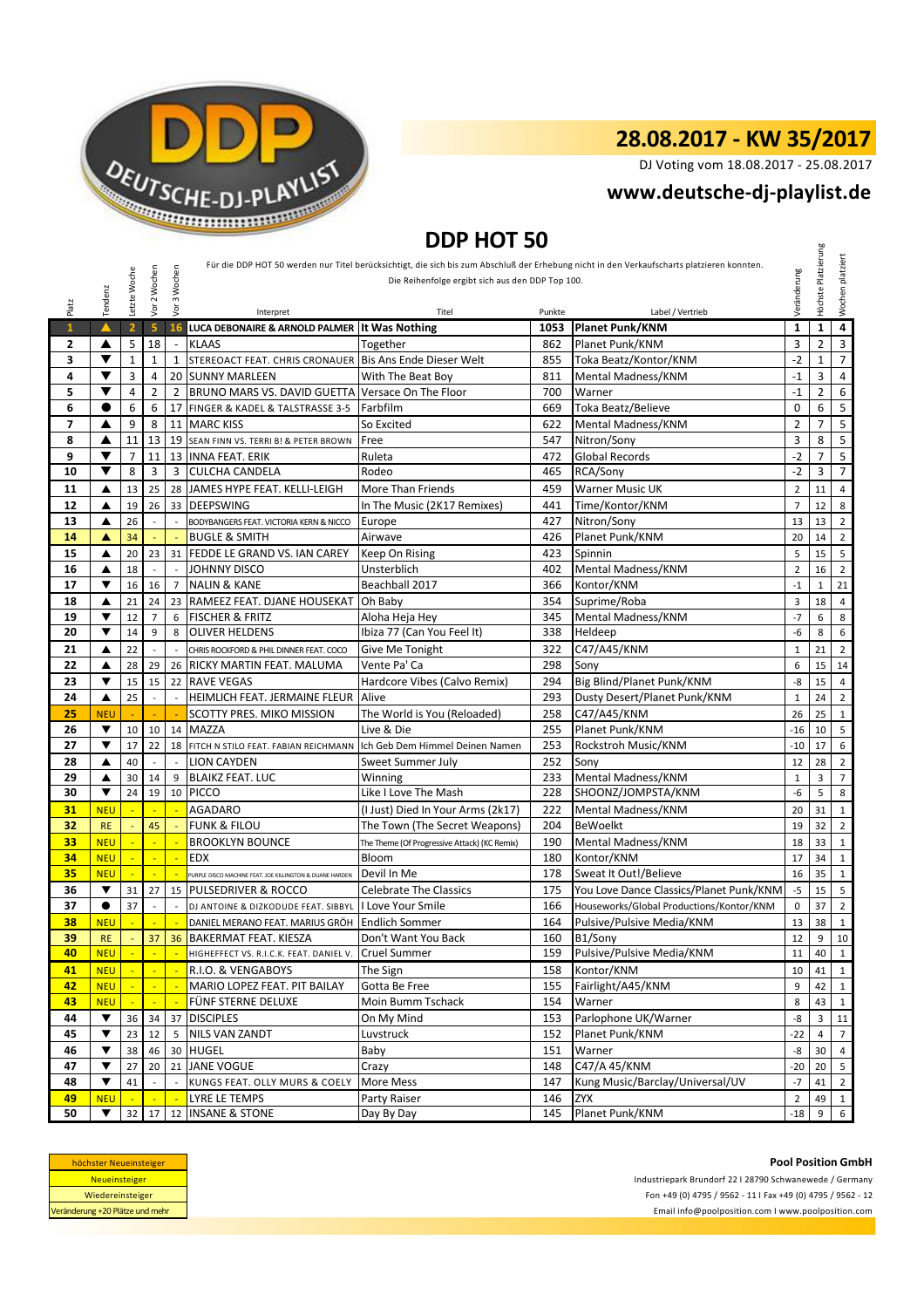

DJ Voting vom 18.08.2017 - 25.08.2017

## **<www.deutsche-dj-playlist.de>**

## **DDP HOT 50**

|              | DUP HUT 50 |                |                          |                |                                                          |                                                  |            |                                                                                                                                            |                |                     |                  |
|--------------|------------|----------------|--------------------------|----------------|----------------------------------------------------------|--------------------------------------------------|------------|--------------------------------------------------------------------------------------------------------------------------------------------|----------------|---------------------|------------------|
|              |            |                |                          |                |                                                          |                                                  |            | Für die DDP HOT 50 werden nur Titel berücksichtigt, die sich bis zum Abschluß der Erhebung nicht in den Verkaufscharts platzieren konnten. |                | Höchste Platzierung | Wochen platziert |
|              |            | Letzte Woche   | Vor 2 Wochen             | 3 Wochen       |                                                          | Die Reihenfolge ergibt sich aus den DDP Top 100. |            |                                                                                                                                            | Veränderung    |                     |                  |
|              | Tendenz    |                |                          |                |                                                          |                                                  |            |                                                                                                                                            |                |                     |                  |
| Platz        |            |                |                          | yor            | Interpret                                                | Titel                                            | Punkte     | Label / Vertrieb                                                                                                                           |                |                     |                  |
| $\mathbf{1}$ |            | 2 <sup>1</sup> | 5 <sup>1</sup>           | 16             | LUCA DEBONAIRE & ARNOLD PALMER                           | <b>It Was Nothing</b>                            | 1053       | <b>Planet Punk/KNM</b>                                                                                                                     | $\mathbf{1}$   | $\mathbf{1}$        | $\overline{4}$   |
| $\mathbf{2}$ | ▲          | 5              | 18                       |                | <b>KLAAS</b>                                             | Together                                         | 862        | Planet Punk/KNM                                                                                                                            | 3              | $\overline{2}$      | 3                |
| 3            | ▼          | $\mathbf{1}$   | $\mathbf{1}$             | 1              | STEREOACT FEAT. CHRIS CRONAUER Bis Ans Ende Dieser Welt  |                                                  | 855        | Toka Beatz/Kontor/KNM                                                                                                                      | $-2$           | $\mathbf{1}$        | $\overline{7}$   |
| 4            | ▼          | 3              | 4                        |                | 20 SUNNY MARLEEN                                         | With The Beat Boy                                | 811        | Mental Madness/KNM                                                                                                                         | $-1$           | 3                   | 4                |
| 5            | ▼          | $\overline{4}$ | $\overline{2}$           | $\overline{2}$ | BRUNO MARS VS. DAVID GUETTA                              | Versace On The Floor                             | 700        | Warner                                                                                                                                     | $-1$           | $\overline{2}$      | 6                |
| 6            | 0          | 6              | 6                        |                | 17 FINGER & KADEL & TALSTRASSE 3-5                       | Farbfilm                                         | 669        | Toka Beatz/Believe                                                                                                                         | $\mathbf 0$    | 6                   | 5                |
| 7            | ▲          | 9              | 8                        | 11             | <b>MARC KISS</b>                                         | So Excited                                       | 622        | Mental Madness/KNM                                                                                                                         | $\overline{2}$ | $\overline{7}$      | 5                |
| 8            | ▲          | 11             | 13                       | 19             | SEAN FINN VS. TERRI B! & PETER BROWN                     | Free                                             | 547        | Nitron/Sony                                                                                                                                | 3              | 8                   | 5                |
| 9            | ▼          | $\overline{7}$ | 11                       | 13             | <b>INNA FEAT. ERIK</b>                                   | Ruleta                                           | 472        | <b>Global Records</b>                                                                                                                      | $-2$           | $\overline{7}$      | 5                |
| 10           | ▼          | 8              | 3                        | 3              | <b>CULCHA CANDELA</b>                                    | Rodeo                                            | 465        | RCA/Sony                                                                                                                                   | $-2$           | 3                   | $\overline{7}$   |
| 11           | ▲          | 13             | 25                       | 28             | JAMES HYPE FEAT. KELLI-LEIGH                             | More Than Friends                                | 459        | Warner Music UK                                                                                                                            | $\mathbf 2$    | 11                  | 4                |
| 12           | ▲          | 19             | 26                       | 33             | <b>DEEPSWING</b>                                         | In The Music (2K17 Remixes)                      | 441        | Time/Kontor/KNM                                                                                                                            | $\overline{7}$ | 12                  | 8                |
| 13           | ▲          | 26             | $\overline{a}$           |                | BODYBANGERS FEAT. VICTORIA KERN & NICCO                  | Europe                                           | 427        | Nitron/Sony                                                                                                                                | 13             | 13                  | $\overline{2}$   |
| 14           | A          | 34             |                          |                | <b>BUGLE &amp; SMITH</b>                                 | Airwave                                          | 426        | Planet Punk/KNM                                                                                                                            | 20             | 14                  | $\overline{2}$   |
| 15           | ▲          | 20             | 23                       |                | 31 FEDDE LE GRAND VS. IAN CAREY                          | Keep On Rising                                   | 423        | Spinnin                                                                                                                                    | 5              | 15                  | 5                |
| 16           | ▲          | 18             | $\overline{\phantom{a}}$ |                | <b>JOHNNY DISCO</b>                                      | Unsterblich                                      | 402        | Mental Madness/KNM                                                                                                                         | $\overline{2}$ | 16                  | $\overline{2}$   |
| 17           | ▼          | 16             | 16                       | $\overline{7}$ | <b>NALIN &amp; KANE</b>                                  | Beachball 2017                                   | 366        | Kontor/KNM                                                                                                                                 | $-1$           | 1                   | 21               |
| 18           | ▲          | 21             | 24                       | 23             | RAMEEZ FEAT. DJANE HOUSEKAT Oh Baby                      |                                                  | 354        | Suprime/Roba                                                                                                                               | 3              | 18                  | $\overline{4}$   |
| 19<br>20     | ▼<br>▼     | 12<br>14       | $\overline{7}$<br>9      | 6<br>8         | <b>FISCHER &amp; FRITZ</b><br><b>OLIVER HELDENS</b>      | Aloha Heja Hey<br>Ibiza 77 (Can You Feel It)     | 345<br>338 | Mental Madness/KNM<br>Heldeep                                                                                                              | $-7$<br>-6     | 6<br>8              | 8<br>6           |
|              |            |                | $\overline{a}$           |                |                                                          |                                                  |            |                                                                                                                                            |                |                     |                  |
| 21<br>22     | ▲          | 22<br>28       |                          |                | CHRIS ROCKFORD & PHIL DINNER FEAT. COCO                  | Give Me Tonight                                  | 322<br>298 | C47/A45/KNM<br>Sony                                                                                                                        | $\mathbf{1}$   | 21                  | $\overline{2}$   |
| 23           | ▲<br>▼     | 15             | 29<br>15                 | 22             | 26 RICKY MARTIN FEAT. MALUMA<br><b>RAVE VEGAS</b>        | Vente Pa' Ca<br>Hardcore Vibes (Calvo Remix)     | 294        | Big Blind/Planet Punk/KNM                                                                                                                  | 6<br>-8        | 15<br>15            | 14<br>4          |
| 24           | ▲          | 25             | $\overline{\phantom{a}}$ |                | HEIMLICH FEAT. JERMAINE FLEUR                            | Alive                                            | 293        | Dusty Desert/Planet Punk/KNM                                                                                                               | $\mathbf{1}$   | 24                  | $\overline{2}$   |
| 25           | <b>NEU</b> |                |                          |                | SCOTTY PRES. MIKO MISSION                                | The World is You (Reloaded)                      | 258        | C47/A45/KNM                                                                                                                                | 26             | 25                  | $\mathbf{1}$     |
| 26           | ▼          | 10             | 10                       |                | 14 MAZZA                                                 | Live & Die                                       | 255        | Planet Punk/KNM                                                                                                                            | $-16$          | 10                  | 5                |
| 27           | ▼          | 17             | 22                       |                | 18 FITCH N STILO FEAT. FABIAN REICHMANN                  | Ich Geb Dem Himmel Deinen Namen                  | 253        | Rockstroh Music/KNM                                                                                                                        | $-10$          | 17                  | 6                |
| 28           | ▲          | 40             | $\sim$                   |                | LION CAYDEN                                              | Sweet Summer July                                | 252        | Sony                                                                                                                                       | 12             | 28                  | $\overline{2}$   |
| 29           | ▲          | 30             | 14                       | 9              | <b>BLAIKZ FEAT. LUC</b>                                  | Winning                                          | 233        | Mental Madness/KNM                                                                                                                         | $\mathbf{1}$   | 3                   | $\overline{7}$   |
| 30           | ▼          | 24             | 19                       | 10             | <b>PICCO</b>                                             | Like I Love The Mash                             | 228        | SHOONZ/JOMPSTA/KNM                                                                                                                         | -6             | 5                   | 8                |
| 31           | <b>NEU</b> |                |                          |                | <b>AGADARO</b>                                           | (I Just) Died In Your Arms (2k17)                | 222        | Mental Madness/KNM                                                                                                                         | 20             | 31                  | $\mathbf{1}$     |
| 32           | <b>RE</b>  |                | 45                       |                | <b>FUNK &amp; FILOU</b>                                  | The Town (The Secret Weapons)                    | 204        | <b>BeWoelkt</b>                                                                                                                            | 19             | 32                  | $\overline{2}$   |
| 33           | <b>NEU</b> |                | ÷.                       |                | <b>BROOKLYN BOUNCE</b>                                   | The Theme (Of Progressive Attack) (KC Remix)     | 190        | Mental Madness/KNM                                                                                                                         | 18             | 33                  | $\mathbf{1}$     |
| 34           | <b>NEU</b> | $\blacksquare$ | $\blacksquare$           | Ξ              | <b>EDX</b>                                               | Bloom                                            | 180        | Kontor/KNM                                                                                                                                 | 17             | 34                  | $\mathbf{1}$     |
| 35           | <b>NEU</b> |                |                          |                | PURPLE DISCO MACHINE FEAT. JOE KILLINGTON & DUANE HARDEN | Devil In Me                                      | 178        | Sweat It Out!/Believe                                                                                                                      | 16             | 35                  | $\mathbf{1}$     |
| 36           | ▼          | 31             | 27                       |                | 15 PULSEDRIVER & ROCCO                                   | <b>Celebrate The Classics</b>                    | 175        | You Love Dance Classics/Planet Punk/KNM                                                                                                    | $-5$           | 15                  | 5                |
| 37           | $\bullet$  | 37             | $\overline{\phantom{a}}$ |                | DJ ANTOINE & DIZKODUDE FEAT. SIBBYL                      | I Love Your Smile                                | 166        | Houseworks/Global Productions/Kontor/KNM                                                                                                   | $\mathbf 0$    | 37                  | $\overline{2}$   |
| 38           | <b>NEU</b> | ÷,             | $\overline{\phantom{a}}$ |                | DANIEL MERANO FEAT. MARIUS GRÖH                          | <b>Endlich Sommer</b>                            | 164        | Pulsive/Pulsive Media/KNM                                                                                                                  | 13             | 38                  | $\mathbf 1$      |
| 39           | <b>RE</b>  |                | 37                       |                | <b>36 BAKERMAT FEAT. KIESZA</b>                          | Don't Want You Back                              |            | 160 B1/Sony                                                                                                                                | 12             |                     | 9   10           |
| 40           | <b>NEU</b> | $\mathbb{Z}^2$ |                          |                | HIGHEFFECT VS. R.I.C.K. FEAT. DANIEL V.                  | <b>Cruel Summer</b>                              | 159        | Pulsive/Pulsive Media/KNM                                                                                                                  | 11             | 40                  | 1                |
| 41           | <b>NEU</b> | ÷.             | $\sim$                   |                | R.I.O. & VENGABOYS                                       | The Sign                                         | 158        | Kontor/KNM                                                                                                                                 | 10             | 41                  | $\mathbf{1}$     |
| 42           | <b>NEU</b> |                |                          |                | MARIO LOPEZ FEAT. PIT BAILAY                             | Gotta Be Free                                    | 155        | Fairlight/A45/KNM                                                                                                                          | 9              | 42                  | 1                |
| 43           | <b>NEU</b> |                |                          |                | FÜNF STERNE DELUXE                                       | Moin Bumm Tschack                                | 154        | Warner                                                                                                                                     | 8              | 43                  | 1                |
| 44           | ▼          | 36             | 34                       |                | 37 DISCIPLES                                             | On My Mind                                       | 153        | Parlophone UK/Warner                                                                                                                       | -8             | 3                   | 11               |
| 45           | ▼          | 23             | 12                       | 5 <sup>1</sup> | <b>NILS VAN ZANDT</b>                                    | Luvstruck                                        | 152        | Planet Punk/KNM                                                                                                                            | $-22$          | $\overline{4}$      | $\overline{7}$   |
| 46           | ▼          | 38             | 46                       |                | 30 HUGEL                                                 | Baby                                             | 151        | Warner                                                                                                                                     | -8             | 30                  | $\overline{4}$   |
| 47           | ▼          | 27             | 20                       |                | 21 JANE VOGUE                                            | Crazy                                            | 148        | C47/A 45/KNM                                                                                                                               | $-20$          | 20                  | 5                |
| 48           | ▼          | 41             |                          |                | KUNGS FEAT. OLLY MURS & COELY                            | More Mess                                        | 147        | Kung Music/Barclay/Universal/UV                                                                                                            | $-7$           | 41                  | $\overline{2}$   |
| 49           | <b>NEU</b> |                |                          |                | LYRE LE TEMPS                                            | Party Raiser                                     | 146        | ZYX                                                                                                                                        | $\overline{2}$ | 49                  | 1                |
| 50           | ▼          | 32             | 17 <sup>1</sup>          |                | 12 INSANE & STONE                                        | Day By Day                                       | 145        | Planet Punk/KNM                                                                                                                            | $-18$          | 9                   | 6                |

| höchster Neueinsteiger          |  |  |  |  |  |  |
|---------------------------------|--|--|--|--|--|--|
| <b>Neueinsteiger</b>            |  |  |  |  |  |  |
| Wiedereinsteiger                |  |  |  |  |  |  |
| Veränderung +20 Plätze und mehr |  |  |  |  |  |  |

<Email info@poolposition.com I www.poolposition.com> Industriepark Brundorf 22 I 28790 Schwanewede / Germany Fon +49 (0) 4795 / 9562 - 11 I Fax +49 (0) 4795 / 9562 - 12 **Pool Position GmbH**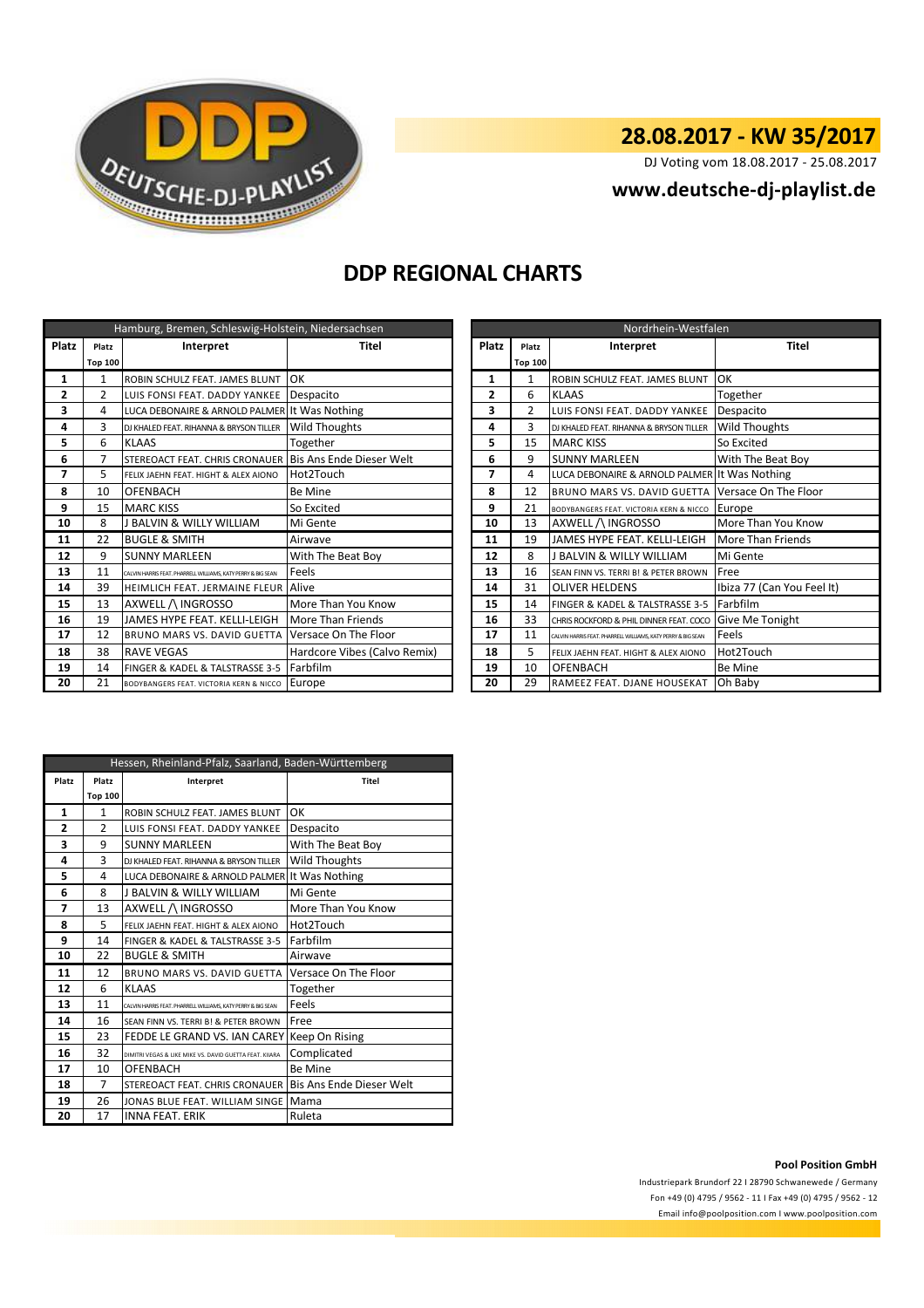

DJ Voting vom 18.08.2017 - 25.08.2017

## **<www.deutsche-dj-playlist.de>**

## **DDP REGIONAL CHARTS**

| Hamburg, Bremen, Schleswig-Holstein, Niedersachsen |                |                                                              |                              | Nordrhein-Westfalen |                |                                                              |                            |  |  |  |
|----------------------------------------------------|----------------|--------------------------------------------------------------|------------------------------|---------------------|----------------|--------------------------------------------------------------|----------------------------|--|--|--|
| <b>Platz</b>                                       | Platz          | Interpret                                                    | <b>Titel</b>                 | Platz               | Platz          | Interpret                                                    | <b>Titel</b>               |  |  |  |
|                                                    | <b>Top 100</b> |                                                              |                              |                     | <b>Top 100</b> |                                                              |                            |  |  |  |
| 1                                                  | 1              | ROBIN SCHULZ FEAT. JAMES BLUNT                               | lok                          | 1                   | 1              | ROBIN SCHULZ FEAT. JAMES BLUNT                               | OK                         |  |  |  |
| 2                                                  | $\overline{2}$ | LUIS FONSI FEAT. DADDY YANKEE   Despacito                    |                              | 2                   | 6              | <b>KLAAS</b>                                                 | Together                   |  |  |  |
| 3                                                  | 4              | LUCA DEBONAIRE & ARNOLD PALMER It Was Nothing                |                              | 3                   | $\overline{2}$ | LUIS FONSI FEAT. DADDY YANKEE                                | Despacito                  |  |  |  |
| 4                                                  | 3              | DJ KHALED FEAT, RIHANNA & BRYSON TILLER                      | <b>Wild Thoughts</b>         | 4                   | 3              | DJ KHALED FEAT. RIHANNA & BRYSON TILLER                      | Wild Thoughts              |  |  |  |
| 5                                                  | 6              | <b>KLAAS</b>                                                 | Together                     | 5                   | 15             | <b>MARC KISS</b>                                             | So Excited                 |  |  |  |
| 6                                                  |                | STEREOACT FEAT. CHRIS CRONAUER Bis Ans Ende Dieser Welt      |                              | 6                   | 9              | <b>SUNNY MARLEEN</b>                                         | With The Beat Boy          |  |  |  |
| 7                                                  | 5              | FELIX JAEHN FEAT. HIGHT & ALEX AIONO                         | Hot2Touch                    | 7                   | 4              | LUCA DEBONAIRE & ARNOLD PALMER It Was Nothing                |                            |  |  |  |
| 8                                                  | 10             | OFENBACH                                                     | <b>Be Mine</b>               | 8                   | 12             | <b>BRUNO MARS VS. DAVID GUETTA</b>                           | Versace On The Floor       |  |  |  |
| 9                                                  | 15             | <b>MARC KISS</b>                                             | So Excited                   | 9                   | 21             | BODYBANGERS FEAT, VICTORIA KERN & NICCO                      | Europe                     |  |  |  |
| 10                                                 | 8              | J BALVIN & WILLY WILLIAM                                     | Mi Gente                     | 10                  | 13             | AXWELL / INGROSSO                                            | More Than You Know         |  |  |  |
| 11                                                 | 22             | <b>BUGLE &amp; SMITH</b>                                     | Airwave                      | 11                  | 19             | JAMES HYPE FEAT. KELLI-LEIGH                                 | More Than Friends          |  |  |  |
| 12                                                 | 9              | <b>SUNNY MARLEEN</b>                                         | With The Beat Boy            | 12                  | 8              | I BALVIN & WILLY WILLIAM                                     | Mi Gente                   |  |  |  |
| 13                                                 | 11             | CALVIN HARRIS FEAT, PHARRELL WILLIAMS, KATY PERRY & BIG SEAN | Feels                        | 13                  | 16             | SEAN FINN VS. TERRI B! & PETER BROWN                         | Free                       |  |  |  |
| 14                                                 | 39             | <b>HEIMLICH FEAT. JERMAINE FLEUR AAIVE</b>                   |                              | 14                  | 31             | <b>OLIVER HELDENS</b>                                        | Ibiza 77 (Can You Feel It) |  |  |  |
| 15                                                 | 13             | AXWELL / INGROSSO                                            | More Than You Know           | 15                  | 14             | FINGER & KADEL & TALSTRASSE 3-5                              | Farbfilm                   |  |  |  |
| 16                                                 | 19             | JAMES HYPE FEAT. KELLI-LEIGH                                 | More Than Friends            | 16                  | 33             | CHRIS ROCKFORD & PHIL DINNER FEAT. COCO                      | Give Me Tonight            |  |  |  |
| 17                                                 | 12             | BRUNO MARS VS. DAVID GUETTA                                  | Versace On The Floor         | 17                  | 11             | CALVIN HARRIS FEAT. PHARRELL WILLIAMS, KATY PERRY & BIG SEAN | Feels                      |  |  |  |
| 18                                                 | 38             | <b>RAVE VEGAS</b>                                            | Hardcore Vibes (Calvo Remix) | 18                  | 5.             | FELIX JAEHN FEAT. HIGHT & ALEX AIONO                         | Hot2Touch                  |  |  |  |
| 19                                                 | 14             | FINGER & KADEL & TALSTRASSE 3-5                              | Farbfilm                     | 19                  | 10             | <b>OFENBACH</b>                                              | <b>Be Mine</b>             |  |  |  |
| 20                                                 | 21             | BODYBANGERS FEAT. VICTORIA KERN & NICCO Europe               |                              | 20                  | 29             | RAMEEZ FEAT. DJANE HOUSEKAT                                  | Oh Baby                    |  |  |  |

|       | Nordrhein-Westfalen |                                                              |                            |  |  |  |  |  |
|-------|---------------------|--------------------------------------------------------------|----------------------------|--|--|--|--|--|
| Platz | Platz               | Interpret                                                    | <b>Titel</b>               |  |  |  |  |  |
|       | <b>Top 100</b>      |                                                              |                            |  |  |  |  |  |
| 1     | 1                   | ROBIN SCHULZ FEAT, JAMES BLUNT                               | OK                         |  |  |  |  |  |
| 2     | 6                   | <b>KLAAS</b>                                                 | Together                   |  |  |  |  |  |
| 3     | $\overline{2}$      | LUIS FONSI FEAT. DADDY YANKEE                                | Despacito                  |  |  |  |  |  |
| 4     | 3                   | DJ KHALED FEAT. RIHANNA & BRYSON TILLER                      | <b>Wild Thoughts</b>       |  |  |  |  |  |
| 5     | 15                  | <b>MARC KISS</b>                                             | So Excited                 |  |  |  |  |  |
| 6     | 9                   | <b>SUNNY MARLEEN</b>                                         | With The Beat Boy          |  |  |  |  |  |
| 7     | 4                   | LUCA DEBONAIRE & ARNOLD PALMER It Was Nothing                |                            |  |  |  |  |  |
| 8     | 12                  | BRUNO MARS VS. DAVID GUETTA                                  | Versace On The Floor       |  |  |  |  |  |
| 9     | 21                  | BODYBANGERS FEAT. VICTORIA KERN & NICCO                      | Europe                     |  |  |  |  |  |
| 10    | 13                  | AXWELL /\ INGROSSO                                           | More Than You Know         |  |  |  |  |  |
| 11    | 19                  | JAMES HYPE FEAT. KELLI-LEIGH                                 | More Than Friends          |  |  |  |  |  |
| 12    | 8                   | J BALVIN & WILLY WILLIAM                                     | Mi Gente                   |  |  |  |  |  |
| 13    | 16                  | SEAN FINN VS. TERRI BI & PETER BROWN                         | Free                       |  |  |  |  |  |
| 14    | 31                  | <b>OLIVER HELDENS</b>                                        | Ibiza 77 (Can You Feel It) |  |  |  |  |  |
| 15    | 14                  | FINGER & KADEL & TALSTRASSE 3-5                              | Farbfilm                   |  |  |  |  |  |
| 16    | 33                  | CHRIS ROCKFORD & PHIL DINNER FEAT, COCO                      | Give Me Tonight            |  |  |  |  |  |
| 17    | 11                  | CALVIN HARRIS FEAT. PHARRELL WILLIAMS, KATY PERRY & BIG SEAN | Feels                      |  |  |  |  |  |
| 18    | 5                   | FELIX JAEHN FEAT. HIGHT & ALEX AIONO                         | Hot2Touch                  |  |  |  |  |  |
| 19    | 10                  | OFENBACH                                                     | Be Mine                    |  |  |  |  |  |
| 20    | 29                  | RAMEEZ FEAT. DJANE HOUSEKAT                                  | Oh Baby                    |  |  |  |  |  |

|       | Hessen, Rheinland-Pfalz, Saarland, Baden-Württemberg |                                                              |                          |  |  |  |  |  |
|-------|------------------------------------------------------|--------------------------------------------------------------|--------------------------|--|--|--|--|--|
| Platz | Platz                                                | Interpret                                                    | Titel                    |  |  |  |  |  |
|       | <b>Top 100</b>                                       |                                                              |                          |  |  |  |  |  |
| 1     | $\mathbf{1}$                                         | ROBIN SCHULZ FEAT. JAMES BLUNT                               | OK                       |  |  |  |  |  |
| 2     | $\mathfrak z$                                        | LUIS FONSI FEAT. DADDY YANKEE                                | Despacito                |  |  |  |  |  |
| 3     | 9                                                    | <b>SUNNY MARLEEN</b>                                         | With The Beat Boy        |  |  |  |  |  |
| 4     | 3                                                    | DI KHALED FEAT. RIHANNA & BRYSON TILLER                      | <b>Wild Thoughts</b>     |  |  |  |  |  |
| 5     | 4                                                    | LUCA DEBONAIRE & ARNOLD PALMER It Was Nothing                |                          |  |  |  |  |  |
| 6     | 8                                                    | <b>J BALVIN &amp; WILLY WILLIAM</b>                          | Mi Gente                 |  |  |  |  |  |
| 7     | 13                                                   | AXWELL /\ INGROSSO                                           | More Than You Know       |  |  |  |  |  |
| 8     | 5                                                    | FELIX JAEHN FEAT. HIGHT & ALEX AIONO                         | Hot2Touch                |  |  |  |  |  |
| 9     | 14                                                   | FINGER & KADEL & TALSTRASSE 3-5                              | Farbfilm                 |  |  |  |  |  |
| 10    | 22                                                   | <b>BUGLE &amp; SMITH</b>                                     | Airwave                  |  |  |  |  |  |
| 11    | 12                                                   | BRUNO MARS VS. DAVID GUETTA                                  | Versace On The Floor     |  |  |  |  |  |
| 12    | 6                                                    | <b>KLAAS</b>                                                 | Together                 |  |  |  |  |  |
| 13    | 11                                                   | CALVIN HARRIS FEAT, PHARRELL WILLIAMS, KATY PERRY & BIG SEAN | Feels                    |  |  |  |  |  |
| 14    | 16                                                   | SEAN FINN VS. TERRI B! & PETER BROWN                         | Free                     |  |  |  |  |  |
| 15    | 23                                                   | FEDDE LE GRAND VS. IAN CAREY                                 | Keep On Rising           |  |  |  |  |  |
| 16    | 32                                                   | DIMITRI VEGAS & LIKE MIKE VS. DAVID GUETTA FEAT, KIIARA      | Complicated              |  |  |  |  |  |
| 17    | 10                                                   | OFENBACH                                                     | <b>Be Mine</b>           |  |  |  |  |  |
| 18    | 7                                                    | STEREOACT FEAT. CHRIS CRONAUER                               | Bis Ans Ende Dieser Welt |  |  |  |  |  |
| 19    | 26                                                   | JONAS BLUE FEAT. WILLIAM SINGE                               | Mama                     |  |  |  |  |  |
| 20    | 17                                                   | <b>INNA FEAT, ERIK</b>                                       | Ruleta                   |  |  |  |  |  |

#### **Pool Position GmbH**

Industriepark Brundorf 22 I 28790 Schwanewede / Germany Fon +49 (0) 4795 / 9562 - 11 I Fax +49 (0) 4795 / 9562 - 12 <Email info@poolposition.com I www.poolposition.com>